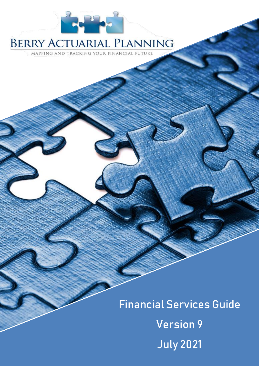

# **BERRY ACTUARIAL PLANNING**

MAPPING AND TRACKING YOUR FINANCIAL FUTURE

Financial Services Guide Version 9 July 2021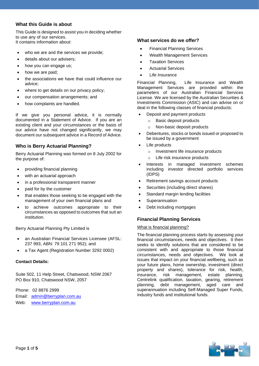# **What this Guide is about**

This Guide is designed to assist you in deciding whether to use any of our services. It contains information about:

- who we are and the services we provide;
- details about our advisers;
- how you can engage us;
- how we are paid:
- the associations we have that could influence our advice;
- where to get details on our privacy policy;
- our compensation arrangements; and
- how complaints are handled.

If we give you personal advice, it is normally documented in a Statement of Advice. If you are an existing client and your circumstances or the basis of our advice have not changed significantly, we may document our subsequent advice in a Record of Advice.

# **Who is Berry Actuarial Planning?**

Berry Actuarial Planning was formed on 8 July 2002 for the purpose of:

- providing financial planning
- with an actuarial approach
- in a professional transparent manner
- paid for by the customer
- that enables those seeking to be engaged with the management of your own financial plans and
- to achieve outcomes appropriate to their circumstances as opposed to outcomes that suit an institution.

Berry Actuarial Planning Pty Limited is

- an Australian Financial Services Licensee (AFSL: 237 993, ABN: 79 101 271 952); and
- a Tax Agent (Registration Number 3292 0002)

## **Contact Details:**

Suite 502, 11 Help Street, Chatswood, NSW 2067 PO Box 910, Chatswood NSW, 2057

Phone: 02 8876 2999 Email: [admin@berryplan.com.au](mailto:admin@berryplan.com.au) Web: [www.berryplan.com.au](http://www.berryplan.com.au/)

# **What services do we offer?**

- Financial Planning Services
- Wealth Management Services
- **Taxation Services**
- Actuarial Services
- Life Insurance

Financial Planning, Life Insurance and Wealth Management Services are provided within the parameters of our Australian Financial Services License. We are licensed by the Australian Securities & Investments Commission (ASIC) and can advise on or deal in the following classes of financial products:

- Deposit and payment products
	- o Basic deposit products
	- o Non-basic deposit products
- Debentures, stocks or bonds issued or proposed to be issued by a government
- Life products
	- o Investment life insurance products
	- o Life risk insurance products
- Interests in managed investment schemes including investor directed portfolio services (IDPS)
- Retirement savings account products
- Securities (including direct shares)
- Standard margin lending facilities
- **Superannuation**
- Debt including mortgages

# **Financial Planning Services**

## What is financial planning?

The financial planning process starts by assessing your financial circumstances, needs and objectives. It then seeks to identify solutions that are considered to be consistent with and appropriate to those financial circumstances, needs and objectives. We look at issues that impact on your financial wellbeing, such as your future plans, home ownership, investment (direct property and shares), tolerance for risk, health, insurance, risk management, estate planning, Centrelink qualification, taxation, gearing, retirement planning, debt management, aged care and superannuation including Self-Managed Super Funds, industry funds and institutional funds.

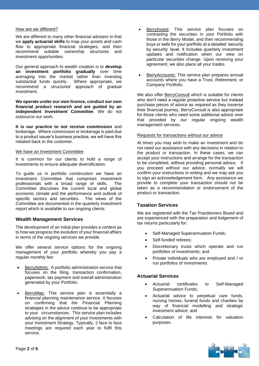#### How are we different?

We are different to many other financial advisers in that we **apply actuarial skills** to map your assets and cash flow to appropriate financial strategies, and then recommend suitable ownership structures and investment opportunities.

Our general approach to wealth creation is to **develop an investment portfolio gradually** over time averaging into the market rather than investing substantial funds quickly. Where appropriate, we recommend a structured approach of gradual investment.

**We operate under our own licence, conduct our own financial product research and are guided by an independent Investment Committee**. We do not outsource our work.

**It is our practice to not receive commission** and brokerage. Where commission or brokerage is paid due to a product issuer's business practice, we will have this rebated back to the customer.

#### We have an Investment Committee

It is common for our clients to hold a range of investments to ensure adequate diversification.

To guide us in portfolio construction we have an Investment Committee that comprises investment professionals with a broad range of skills. The Committee discusses the current local and global economic climate and the performance and outlook of specific sectors and securities. The views of the Committee are documented in the quarterly investment report which is available to our ongoing clients.

## **Wealth Management Services**

The development of an initial plan provides a context as to how we progress the evolution of your financial affairs in terms of the ongoing services we provide.

We offer several service options for the ongoing management of your portfolio whereby you pay a regular monthly fee:

- BerryAdmin: A portfolio administration service that focuses on the filing, transaction confirmation, paperwork, tax payment and overall administration generated by your Portfolio.
- **BerryMap:** This service plan is essentially a financial planning maintenance service. It focuses on confirming that the Financial Planning strategies in the advice continue to be appropriate to your circumstances. This service plan includes advising on the alignment of your Investments with your Investment Strategy. Typically, 2 face to face meetings are required each year to fulfil this service.
- BerryInvest: This service plan focuses on contrasting the securities in your Portfolio with those in the Berry Model, and then recommending buys or sells for your portfolio at a detailed 'security by security' level. It includes quarterly investment updates and notification when our view on particular securities change. Upon receiving your agreement, we also place all your trades.
- BerryAccounts: This service plan prepares annual accounts where you have a Trust, Retirement, or Company Portfolio.

We also offer BerryConsult which is suitable for clients who don't need a regular proactive service but instead purchase pieces of advice as required as they traverse their financial journey. BerryConsult is also appropriate for those clients who need some additional advice over that provided by our regular ongoing wealth management services.

#### Requests for transactions without our advice

At times you may wish to make an investment and do not need our assistance with any decisions in relation to the product or transaction. In these cases, we can accept your instructions and arrange for the transaction to be completed, without providing personal advice. If you proceed without our advice, normally we will confirm your instructions in writing and we may ask you to sign an acknowledgement form. Any assistance we provide to complete your transaction should not be taken as a recommendation or endorsement of the product or transaction.

# **Taxation Services**

We are registered with the Tax Practitioners Board and are experienced with the preparation and lodgement of tax returns particularly for:

- Self-Managed Superannuation Funds;
- Self-funded retirees;
- Discretionary trusts which operate and run portfolios of investments; and
- Private individuals who are employed and / or run portfolios of investments.

## **Actuarial Services**

- Actuarial certificates to Self-Managed Superannuation Funds;
- Actuarial advice to perpetual care funds, nursing homes, funeral funds and charities by way of financial modelling and strategic investment advice; and
- Calculation of life interests for valuation purposes.

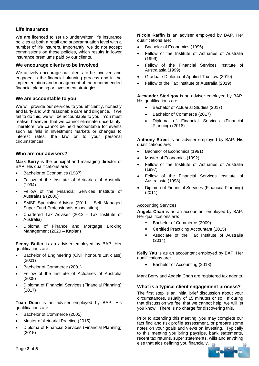# **Life Insurance**

We are licenced to set up underwritten life insurance policies at both a retail and superannuation level with a number of life insurers. Importantly, we do not accept commissions on these policies, which results in lower insurance premiums paid by our clients.

#### **We encourage clients to be involved**

We actively encourage our clients to be involved and engaged in the financial planning process and in the implementation and management of the recommended financial planning or investment strategies.

# **We are accountable to you**

We will provide our services to you efficiently, honestly and fairly and with reasonable care and diligence. If we fail to do this, we will be accountable to you. You must realise, however, that we cannot eliminate uncertainty. Therefore, we cannot be held accountable for events such as falls in investment markets or changes to interest rates, the law or to your personal circumstances.

## **Who are our advisers?**

**Mark Berry** is the principal and managing director of BAP. His qualifications are:

- Bachelor of Economics (1987)
- Fellow of the Institute of Actuaries of Australia (1994)
- Fellow of the Financial Services Institute of Australasia (2000)
- SMSF Specialist Advisor (2011 Self Managed Super Fund Professionals Association)
- Chartered Tax Adviser (2012 Tax Institute of Australia)
- Diploma of Finance and Mortgage Broking Management (2020 – Kaplan)

**Penny Butler** is an adviser employed by BAP. Her qualifications are:

- Bachelor of Engineering (Civil, honours 1st class) (2001)
- Bachelor of Commerce (2001)
- Fellow of the Institute of Actuaries of Australia (2008)
- Diploma of Financial Services (Financial Planning) (2017)

**Toan Doan** is an adviser employed by BAP. His qualifications are:

- Bachelor of Commerce (2005)
- Master of Actuarial Practice (2015)
- Diploma of Financial Services (Financial Planning) (2015)

**Nicole Raffin** is an adviser employed by BAP. Her qualifications are:

- Bachelor of Economics (1995)
- Fellow of the Institute of Actuaries of Australia (1999)
- Fellow of the Financial Services Institute of Australasia (1999)
- Graduate Diploma of Applied Tax Law (2019)
- Fellow of the Tax Institute of Australia (2019)

**Alexander Sterligov** is an adviser employed by BAP. His qualifications are:

- Bachelor of Actuarial Studies (2017)
- Bachelor of Commerce (2017)
- Diploma of Financial Services (Financial Planning) (2018)

**Anthony Street** is an adviser employed by BAP. His qualifications are:

- Bachelor of Economics (1991)
- Master of Economics (1992)
- Fellow of the Institute of Actuaries of Australia (1997)
- Fellow of the Financial Services Institute of Australasia (1998)
- Diploma of Financial Services (Financial Planning) (2011)

## Accounting Services

**Angela Chan** is as an accountant employed by BAP. Her qualifications are:

- Bachelor of Commerce (2009)
- Certified Practicing Accountant (2015)
- Associate of the Tax Institute of Australia (2014)

**Kelly Yau** is as an accountant employed by BAP. Her qualifications are:

• Bachelor of Accounting (2018)

Mark Berry and Angela Chan are registered tax agents.

## **What is a typical client engagement process?**

The first step is an initial brief discussion about your circumstances, usually of 15 minutes or so. If during that discussion we feel that we cannot help, we will let you know. There is no charge for discovering this.

Prior to attending this meeting, you may complete our fact find and risk profile assessment, or prepare some notes on your goals and views on investing. Typically to this meeting you bring payslips, bank statements, recent tax returns, super statements, wills and anything else that aids defining you financially.

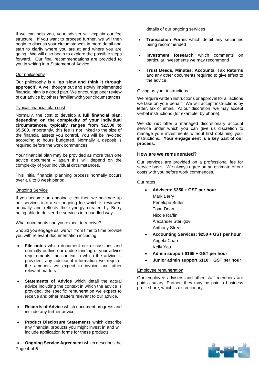If we can help you, your adviser will explain our fee structure. If you want to proceed further, we will then begin to discuss your circumstances in more detail and start to clarify where you are at and where you are going. We will also begin to explore the possible steps forward. Our final recommendations are provided to you in writing in a Statement of Advice.

#### Our philosophy

Our philosophy is a '**go slow and think it through approach**'. A well thought out and slowly implemented financial plan is a good plan. We encourage peer review of our advice by others familiar with your circumstances.

#### Typical financial plan cost

Normally, the cost to develop **a full financial plan, depending on the complexity of your individual circumstances, typically ranges from \$2,500 to \$5,500**. Importantly, this fee is not linked to the size of the financial assets you control. You will be invoiced according to hours budgeted. Normally a deposit is required before the work commences.

Your financial plan may be provided as more than one advice document – again this will depend on the complexity of your individual circumstances.

This initial financial planning process normally occurs over a 6 to 8 week period.

## Ongoing Service

If you become an ongoing client then we package up our services into a set ongoing fee which is reviewed annually and reflects the synergy created by Berry being able to deliver the services in a bundled way.

#### What documents can you expect to receive?

Should you engage us, we will from time to time provide you with relevant documentation including:

- **File notes** which document our discussions and normally outline our understanding of your advice requirements, the context in which the advice is provided, any additional information we require, the amounts we expect to invoice and other relevant matters
- **Statements of Advice** which detail the actual advice including the context in which the advice is provided, the specific remuneration we expect to receive and other matters relevant to our advice.
- **Records of Advice** which document progress and include any further advice
- **Product Disclosure Statements** which describe any financial products you might invest in and will include application forms for these products

Page **4** of **5** • **Ongoing Service Agreement** which describes the details of our ongoing services

- **Transaction Forms** which detail any securities being recommended
- **Investment Research** which comments on particular investments we may recommend
- **Trust Deeds, Minutes, Accounts, Tax Returns**  and any other documents required to give effect to the advice

#### Giving us your instructions

We require written instructions or approval for all actions we take on your behalf. We will accept instructions by letter, fax or email. At our discretion, we may accept verbal instructions (for example, by phone).

We **do not** offer a managed discretionary account service under which you can give us discretion to manage your investments without first obtaining your instructions. **Your engagement is a key part of our process.**

#### **How are we remunerated?**

Our services are provided on a professional fee for service basis. We always agree on an estimate of our costs with you before work commences.

#### Our rates

• **Advisers: \$350 + GST per hour** Mark Berry Penelope Butler Toan Doan Nicole Raffin Alexander Sterligov Anthony Street • **Accounting Services: \$250 + GST per hour** Angela Chan

Kelly Yau

- **Admin support \$165 + GST per hour**
- **Junior admin support \$110 + GST per hour**

#### Employee remuneration

Our employee advisers and other staff members are paid a salary. Further, they may be paid a business profit share, which is discretionary.